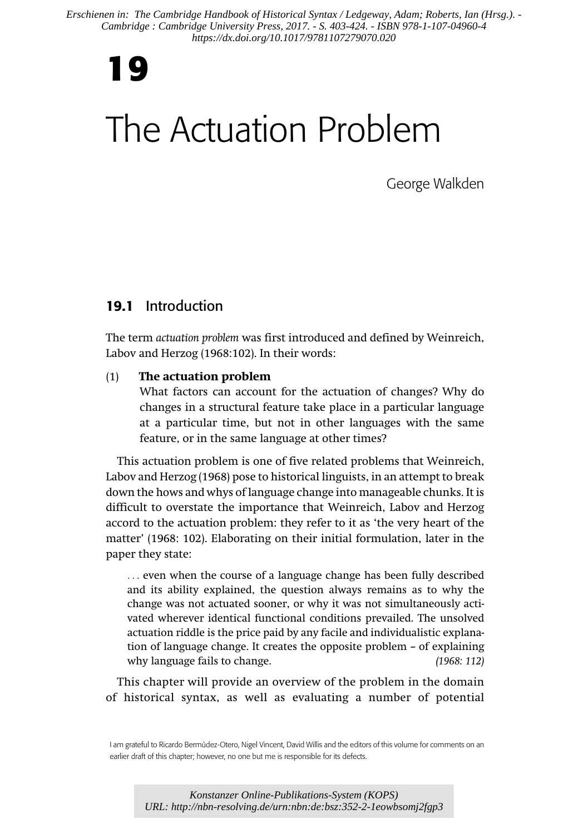*Erschienen in: The Cambridge Handbook of Historical Syntax / Ledgeway, Adam; Roberts, Ian (Hrsg.). - Cambridge : Cambridge University Press, 2017. - S. 403-424. - ISBN 978-1-107-04960-4 https://dx.doi.org/10.1017/9781107279070.020*

# 19

# $\overline{\phantom{0}}$ The Actuation Problem

George Walkden

# 19.1 Introduction

The term actuation problem was first introduced and defined by Weinreich, Labov and Herzog (1968:102). In their words:

## (1) The actuation problem

What factors can account for the actuation of changes? Why do changes in a structural feature take place in a particular language at a particular time, but not in other languages with the same feature, or in the same language at other times?

This actuation problem is one of five related problems that Weinreich, Labov and Herzog (1968) pose to historical linguists, in an attempt to break down the hows and whys of language change into manageable chunks. It is difficult to overstate the importance that Weinreich, Labov and Herzog accord to the actuation problem: they refer to it as 'the very heart of the matter' (1968: 102). Elaborating on their initial formulation, later in the paper they state:

... even when the course of a language change has been fully described and its ability explained, the question always remains as to why the change was not actuated sooner, or why it was not simultaneously activated wherever identical functional conditions prevailed. The unsolved actuation riddle is the price paid by any facile and individualistic explanation of language change. It creates the opposite problem – of explaining why language fails to change. (1968: 112)

This chapter will provide an overview of the problem in the domain of historical syntax, as well as evaluating a number of potential

I am grateful to Ricardo Bermúdez-Otero, Nigel Vincent, David Willis and the editors of this volume for comments on an earlier draft of this chapter; however, no one but me is responsible for its defects.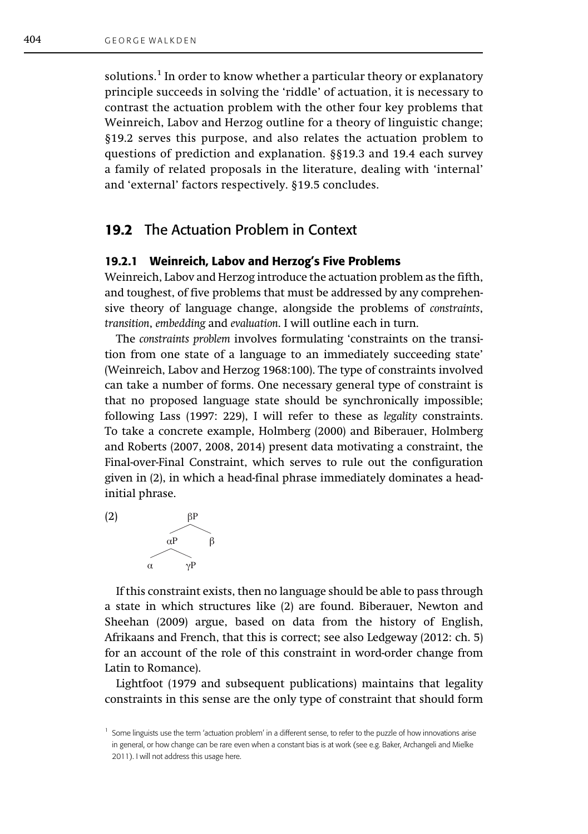solutions.<sup>1</sup> In order to know whether a particular theory or explanatory principle succeeds in solving the 'riddle' of actuation, it is necessary to contrast the actuation problem with the other four key problems that Weinreich, Labov and Herzog outline for a theory of linguistic change; §19.2 serves this purpose, and also relates the actuation problem to questions of prediction and explanation. §§19.3 and 19.4 each survey a family of related proposals in the literature, dealing with 'internal' and 'external' factors respectively. §19.5 concludes.

# 19.2 The Actuation Problem in Context

### 19.2.1 Weinreich, Labov and Herzog's Five Problems

Weinreich, Labov and Herzog introduce the actuation problem as the fifth, and toughest, of five problems that must be addressed by any comprehensive theory of language change, alongside the problems of constraints, transition, embedding and evaluation. I will outline each in turn.

The constraints problem involves formulating 'constraints on the transition from one state of a language to an immediately succeeding state' (Weinreich, Labov and Herzog 1968:100). The type of constraints involved can take a number of forms. One necessary general type of constraint is that no proposed language state should be synchronically impossible; following Lass (1997: 229), I will refer to these as legality constraints. To take a concrete example, Holmberg (2000) and Biberauer, Holmberg and Roberts (2007, 2008, 2014) present data motivating a constraint, the Final-over-Final Constraint, which serves to rule out the configuration given in (2), in which a head-final phrase immediately dominates a headinitial phrase.



If this constraint exists, then no language should be able to pass through a state in which structures like (2) are found. Biberauer, Newton and Sheehan (2009) argue, based on data from the history of English, Afrikaans and French, that this is correct; see also Ledgeway (2012: ch. 5) for an account of the role of this constraint in word-order change from Latin to Romance).

Lightfoot (1979 and subsequent publications) maintains that legality constraints in this sense are the only type of constraint that should form

 $<sup>1</sup>$  Some linguists use the term 'actuation problem' in a different sense, to refer to the puzzle of how innovations arise</sup> in general, or how change can be rare even when a constant bias is at work (see e.g. Baker, Archangeli and Mielke 2011). I will not address this usage here.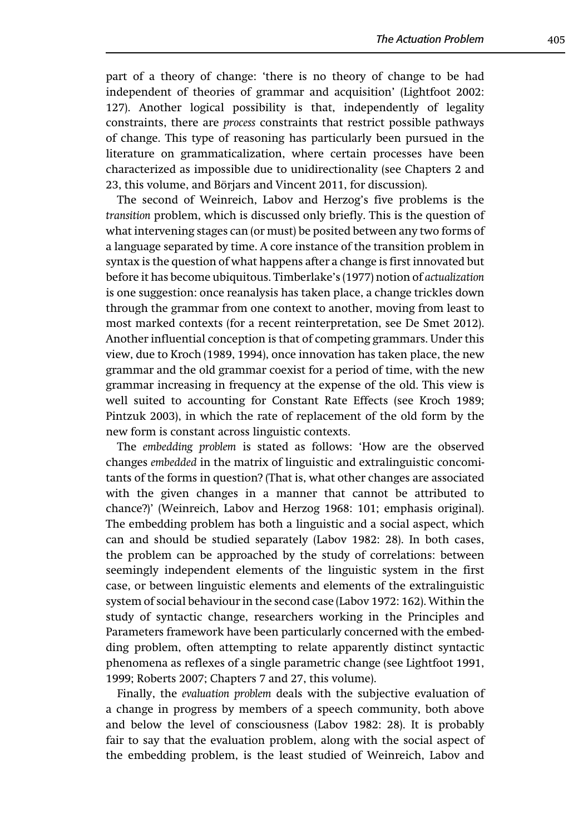part of a theory of change: 'there is no theory of change to be had independent of theories of grammar and acquisition' (Lightfoot 2002: 127). Another logical possibility is that, independently of legality constraints, there are process constraints that restrict possible pathways of change. This type of reasoning has particularly been pursued in the literature on grammaticalization, where certain processes have been characterized as impossible due to unidirectionality (see Chapters 2 and 23, this volume, and Börjars and Vincent 2011, for discussion).

The second of Weinreich, Labov and Herzog's five problems is the transition problem, which is discussed only briefly. This is the question of what intervening stages can (or must) be posited between any two forms of a language separated by time. A core instance of the transition problem in syntax is the question of what happens after a change is first innovated but before it has become ubiquitous. Timberlake's (1977) notion of actualization is one suggestion: once reanalysis has taken place, a change trickles down through the grammar from one context to another, moving from least to most marked contexts (for a recent reinterpretation, see De Smet 2012). Another influential conception is that of competing grammars. Under this view, due to Kroch (1989, 1994), once innovation has taken place, the new grammar and the old grammar coexist for a period of time, with the new grammar increasing in frequency at the expense of the old. This view is well suited to accounting for Constant Rate Effects (see Kroch 1989; Pintzuk 2003), in which the rate of replacement of the old form by the new form is constant across linguistic contexts.

The embedding problem is stated as follows: 'How are the observed changes embedded in the matrix of linguistic and extralinguistic concomitants of the forms in question? (That is, what other changes are associated with the given changes in a manner that cannot be attributed to chance?)' (Weinreich, Labov and Herzog 1968: 101; emphasis original). The embedding problem has both a linguistic and a social aspect, which can and should be studied separately (Labov 1982: 28). In both cases, the problem can be approached by the study of correlations: between seemingly independent elements of the linguistic system in the first case, or between linguistic elements and elements of the extralinguistic system of social behaviour in the second case (Labov 1972: 162). Within the study of syntactic change, researchers working in the Principles and Parameters framework have been particularly concerned with the embedding problem, often attempting to relate apparently distinct syntactic phenomena as reflexes of a single parametric change (see Lightfoot 1991, 1999; Roberts 2007; Chapters 7 and 27, this volume).

Finally, the evaluation problem deals with the subjective evaluation of a change in progress by members of a speech community, both above and below the level of consciousness (Labov 1982: 28). It is probably fair to say that the evaluation problem, along with the social aspect of the embedding problem, is the least studied of Weinreich, Labov and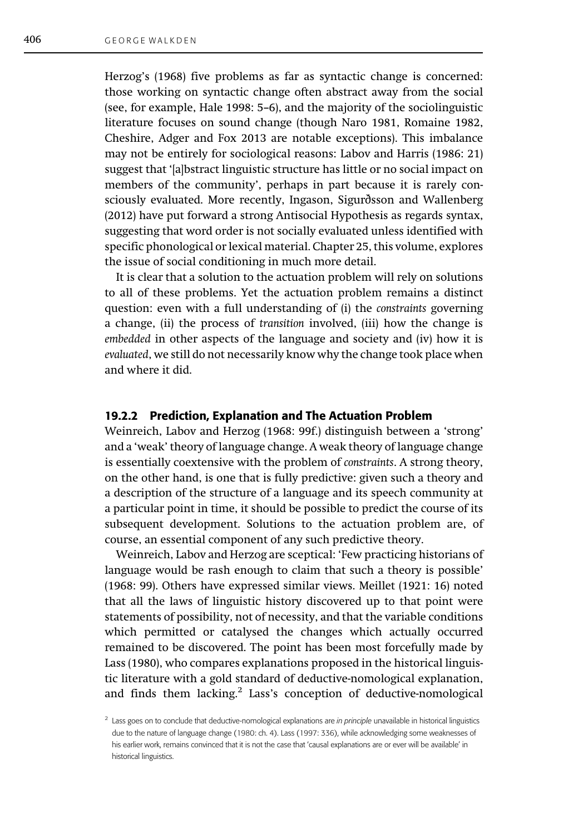Herzog's (1968) five problems as far as syntactic change is concerned: those working on syntactic change often abstract away from the social (see, for example, Hale 1998: 5–6), and the majority of the sociolinguistic literature focuses on sound change (though Naro 1981, Romaine 1982, Cheshire, Adger and Fox 2013 are notable exceptions). This imbalance may not be entirely for sociological reasons: Labov and Harris (1986: 21) suggest that '[a]bstract linguistic structure has little or no social impact on members of the community', perhaps in part because it is rarely consciously evaluated. More recently, Ingason, Sigurðsson and Wallenberg (2012) have put forward a strong Antisocial Hypothesis as regards syntax, suggesting that word order is not socially evaluated unless identified with specific phonological or lexical material. Chapter 25, this volume, explores the issue of social conditioning in much more detail.

It is clear that a solution to the actuation problem will rely on solutions to all of these problems. Yet the actuation problem remains a distinct question: even with a full understanding of (i) the constraints governing a change, (ii) the process of transition involved, (iii) how the change is embedded in other aspects of the language and society and (iv) how it is evaluated, we still do not necessarily know why the change took place when and where it did.

## 19.2.2 Prediction, Explanation and The Actuation Problem

Weinreich, Labov and Herzog (1968: 99f.) distinguish between a 'strong' and a 'weak' theory of language change. A weak theory of language change is essentially coextensive with the problem of constraints. A strong theory, on the other hand, is one that is fully predictive: given such a theory and a description of the structure of a language and its speech community at a particular point in time, it should be possible to predict the course of its subsequent development. Solutions to the actuation problem are, of course, an essential component of any such predictive theory.

Weinreich, Labov and Herzog are sceptical: 'Few practicing historians of language would be rash enough to claim that such a theory is possible' (1968: 99). Others have expressed similar views. Meillet (1921: 16) noted that all the laws of linguistic history discovered up to that point were statements of possibility, not of necessity, and that the variable conditions which permitted or catalysed the changes which actually occurred remained to be discovered. The point has been most forcefully made by Lass (1980), who compares explanations proposed in the historical linguistic literature with a gold standard of deductive-nomological explanation, and finds them lacking.<sup>2</sup> Lass's conception of deductive-nomological

 $2$  Lass goes on to conclude that deductive-nomological explanations are in principle unavailable in historical linguistics due to the nature of language change (1980: ch. 4). Lass (1997: 336), while acknowledging some weaknesses of his earlier work, remains convinced that it is not the case that 'causal explanations are or ever will be available' in historical linguistics.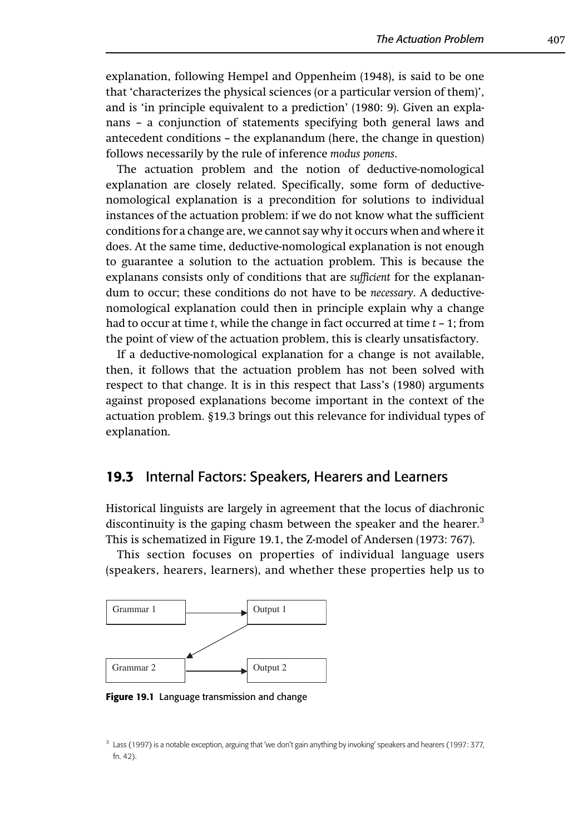explanation, following Hempel and Oppenheim (1948), is said to be one that 'characterizes the physical sciences (or a particular version of them)', and is 'in principle equivalent to a prediction' (1980: 9). Given an explanans – a conjunction of statements specifying both general laws and antecedent conditions – the explanandum (here, the change in question) follows necessarily by the rule of inference modus ponens.

The actuation problem and the notion of deductive-nomological explanation are closely related. Specifically, some form of deductivenomological explanation is a precondition for solutions to individual instances of the actuation problem: if we do not know what the sufficient conditions for a change are, we cannot say why it occurs when and where it does. At the same time, deductive-nomological explanation is not enough to guarantee a solution to the actuation problem. This is because the explanans consists only of conditions that are sufficient for the explanandum to occur; these conditions do not have to be necessary. A deductivenomological explanation could then in principle explain why a change had to occur at time t, while the change in fact occurred at time  $t - 1$ ; from the point of view of the actuation problem, this is clearly unsatisfactory.

If a deductive-nomological explanation for a change is not available, then, it follows that the actuation problem has not been solved with respect to that change. It is in this respect that Lass's (1980) arguments against proposed explanations become important in the context of the actuation problem. §19.3 brings out this relevance for individual types of explanation.

## 19.3 Internal Factors: Speakers, Hearers and Learners

Historical linguists are largely in agreement that the locus of diachronic discontinuity is the gaping chasm between the speaker and the hearer.<sup>3</sup> This is schematized in Figure 19.1, the Z-model of Andersen (1973: 767).

This section focuses on properties of individual language users (speakers, hearers, learners), and whether these properties help us to



Figure 19.1 Language transmission and change

<sup>&</sup>lt;sup>3</sup> Lass (1997) is a notable exception, arguing that 'we don't gain anything by invoking' speakers and hearers (1997: 377, fn. 42).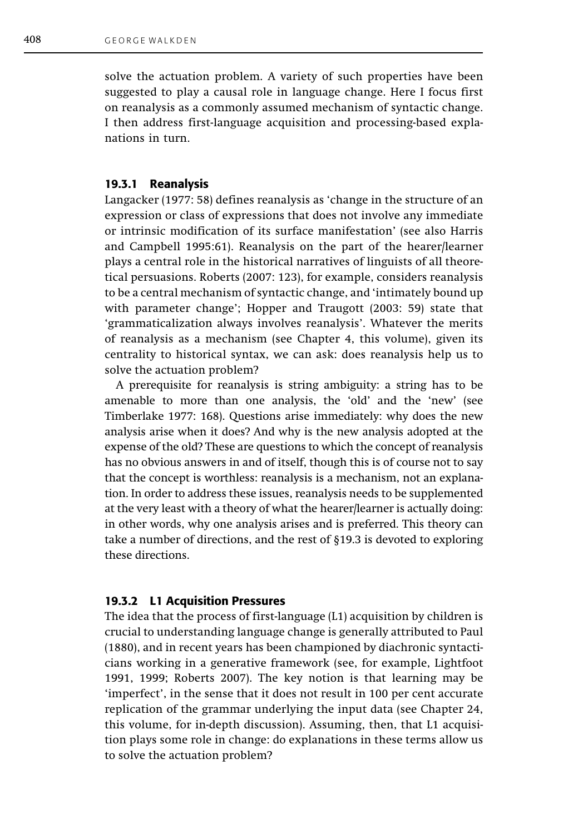solve the actuation problem. A variety of such properties have been suggested to play a causal role in language change. Here I focus first on reanalysis as a commonly assumed mechanism of syntactic change. I then address first-language acquisition and processing-based explanations in turn.

#### 19.3.1 Reanalysis

Langacker (1977: 58) defines reanalysis as 'change in the structure of an expression or class of expressions that does not involve any immediate or intrinsic modification of its surface manifestation' (see also Harris and Campbell 1995:61). Reanalysis on the part of the hearer/learner plays a central role in the historical narratives of linguists of all theoretical persuasions. Roberts (2007: 123), for example, considers reanalysis to be a central mechanism of syntactic change, and 'intimately bound up with parameter change'; Hopper and Traugott (2003: 59) state that 'grammaticalization always involves reanalysis'. Whatever the merits of reanalysis as a mechanism (see Chapter 4, this volume), given its centrality to historical syntax, we can ask: does reanalysis help us to solve the actuation problem?

A prerequisite for reanalysis is string ambiguity: a string has to be amenable to more than one analysis, the 'old' and the 'new' (see Timberlake 1977: 168). Questions arise immediately: why does the new analysis arise when it does? And why is the new analysis adopted at the expense of the old? These are questions to which the concept of reanalysis has no obvious answers in and of itself, though this is of course not to say that the concept is worthless: reanalysis is a mechanism, not an explanation. In order to address these issues, reanalysis needs to be supplemented at the very least with a theory of what the hearer/learner is actually doing: in other words, why one analysis arises and is preferred. This theory can take a number of directions, and the rest of §19.3 is devoted to exploring these directions.

#### 19.3.2 L1 Acquisition Pressures

The idea that the process of first-language (L1) acquisition by children is crucial to understanding language change is generally attributed to Paul (1880), and in recent years has been championed by diachronic syntacticians working in a generative framework (see, for example, Lightfoot 1991, 1999; Roberts 2007). The key notion is that learning may be 'imperfect', in the sense that it does not result in 100 per cent accurate replication of the grammar underlying the input data (see Chapter 24, this volume, for in-depth discussion). Assuming, then, that L1 acquisition plays some role in change: do explanations in these terms allow us to solve the actuation problem?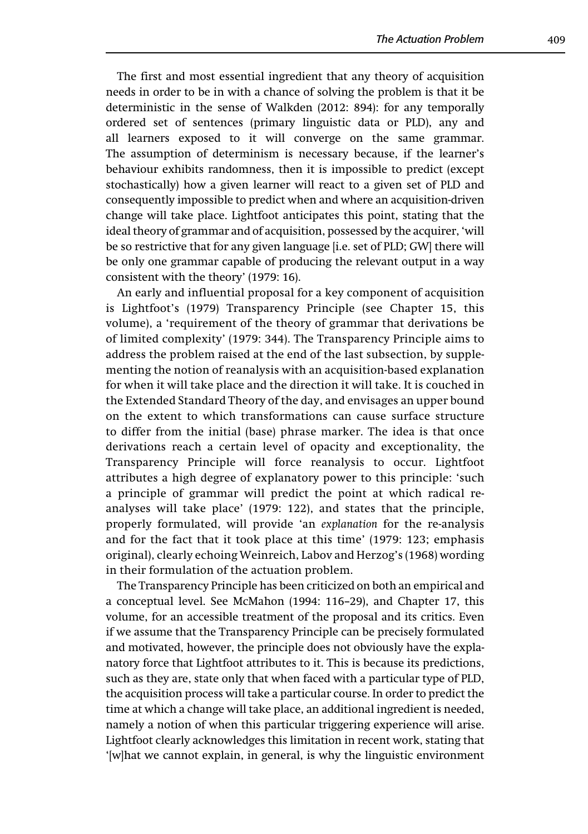The first and most essential ingredient that any theory of acquisition needs in order to be in with a chance of solving the problem is that it be deterministic in the sense of Walkden (2012: 894): for any temporally ordered set of sentences (primary linguistic data or PLD), any and all learners exposed to it will converge on the same grammar. The assumption of determinism is necessary because, if the learner's behaviour exhibits randomness, then it is impossible to predict (except stochastically) how a given learner will react to a given set of PLD and consequently impossible to predict when and where an acquisition-driven change will take place. Lightfoot anticipates this point, stating that the ideal theory of grammar and of acquisition, possessed by the acquirer, 'will be so restrictive that for any given language [i.e. set of PLD; GW] there will be only one grammar capable of producing the relevant output in a way consistent with the theory' (1979: 16).

An early and influential proposal for a key component of acquisition is Lightfoot's (1979) Transparency Principle (see Chapter 15, this volume), a 'requirement of the theory of grammar that derivations be of limited complexity' (1979: 344). The Transparency Principle aims to address the problem raised at the end of the last subsection, by supplementing the notion of reanalysis with an acquisition-based explanation for when it will take place and the direction it will take. It is couched in the Extended Standard Theory of the day, and envisages an upper bound on the extent to which transformations can cause surface structure to differ from the initial (base) phrase marker. The idea is that once derivations reach a certain level of opacity and exceptionality, the Transparency Principle will force reanalysis to occur. Lightfoot attributes a high degree of explanatory power to this principle: 'such a principle of grammar will predict the point at which radical reanalyses will take place' (1979: 122), and states that the principle, properly formulated, will provide 'an explanation for the re-analysis and for the fact that it took place at this time' (1979: 123; emphasis original), clearly echoing Weinreich, Labov and Herzog's (1968) wording in their formulation of the actuation problem.

The Transparency Principle has been criticized on both an empirical and a conceptual level. See McMahon (1994: 116–29), and Chapter 17, this volume, for an accessible treatment of the proposal and its critics. Even if we assume that the Transparency Principle can be precisely formulated and motivated, however, the principle does not obviously have the explanatory force that Lightfoot attributes to it. This is because its predictions, such as they are, state only that when faced with a particular type of PLD, the acquisition process will take a particular course. In order to predict the time at which a change will take place, an additional ingredient is needed, namely a notion of when this particular triggering experience will arise. Lightfoot clearly acknowledges this limitation in recent work, stating that '[w]hat we cannot explain, in general, is why the linguistic environment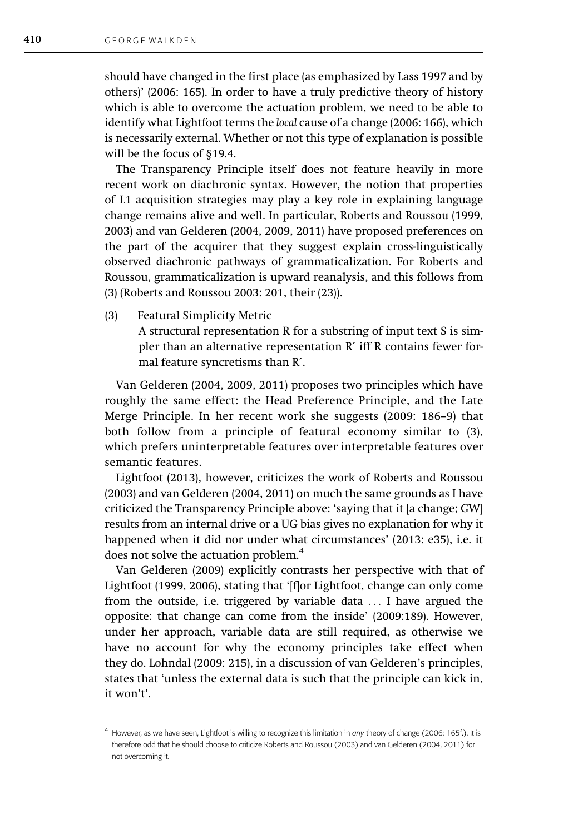should have changed in the first place (as emphasized by Lass 1997 and by others)' (2006: 165). In order to have a truly predictive theory of history which is able to overcome the actuation problem, we need to be able to identify what Lightfoot terms the local cause of a change (2006: 166), which is necessarily external. Whether or not this type of explanation is possible will be the focus of §19.4.

The Transparency Principle itself does not feature heavily in more recent work on diachronic syntax. However, the notion that properties of L1 acquisition strategies may play a key role in explaining language change remains alive and well. In particular, Roberts and Roussou (1999, 2003) and van Gelderen (2004, 2009, 2011) have proposed preferences on the part of the acquirer that they suggest explain cross-linguistically observed diachronic pathways of grammaticalization. For Roberts and Roussou, grammaticalization is upward reanalysis, and this follows from (3) (Roberts and Roussou 2003: 201, their (23)).

(3) Featural Simplicity Metric

A structural representation R for a substring of input text S is simpler than an alternative representation R´ iff R contains fewer formal feature syncretisms than R´.

Van Gelderen (2004, 2009, 2011) proposes two principles which have roughly the same effect: the Head Preference Principle, and the Late Merge Principle. In her recent work she suggests (2009: 186–9) that both follow from a principle of featural economy similar to (3), which prefers uninterpretable features over interpretable features over semantic features.

Lightfoot (2013), however, criticizes the work of Roberts and Roussou (2003) and van Gelderen (2004, 2011) on much the same grounds as I have criticized the Transparency Principle above: 'saying that it [a change; GW] results from an internal drive or a UG bias gives no explanation for why it happened when it did nor under what circumstances' (2013: e35), i.e. it does not solve the actuation problem.<sup>4</sup>

Van Gelderen (2009) explicitly contrasts her perspective with that of Lightfoot (1999, 2006), stating that '[f]or Lightfoot, change can only come from the outside, i.e. triggered by variable data ... I have argued the opposite: that change can come from the inside' (2009:189). However, under her approach, variable data are still required, as otherwise we have no account for why the economy principles take effect when they do. Lohndal (2009: 215), in a discussion of van Gelderen's principles, states that 'unless the external data is such that the principle can kick in, it won't'.

 $4$  However, as we have seen, Lightfoot is willing to recognize this limitation in any theory of change (2006: 165f.). It is therefore odd that he should choose to criticize Roberts and Roussou (2003) and van Gelderen (2004, 2011) for not overcoming it.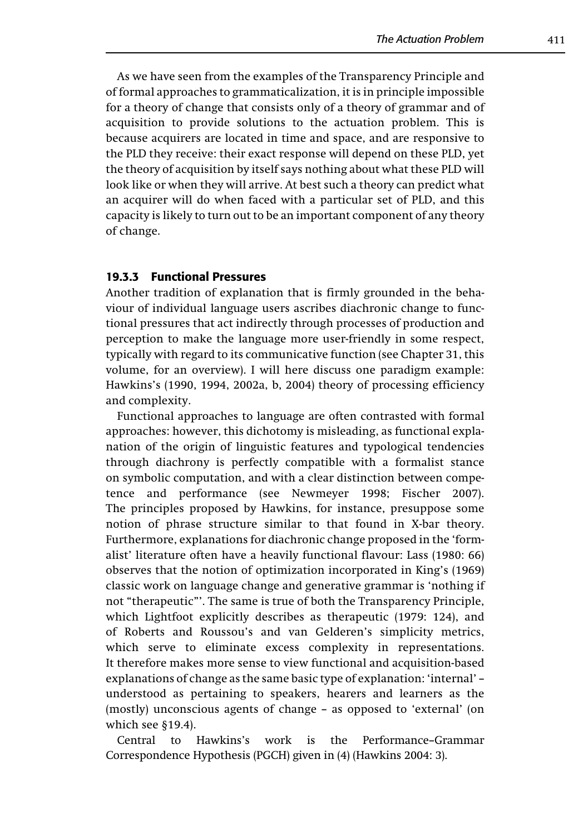As we have seen from the examples of the Transparency Principle and of formal approaches to grammaticalization, it is in principle impossible for a theory of change that consists only of a theory of grammar and of acquisition to provide solutions to the actuation problem. This is because acquirers are located in time and space, and are responsive to the PLD they receive: their exact response will depend on these PLD, yet the theory of acquisition by itself says nothing about what these PLD will look like or when they will arrive. At best such a theory can predict what an acquirer will do when faced with a particular set of PLD, and this capacity is likely to turn out to be an important component of any theory of change.

## 19.3.3 Functional Pressures

Another tradition of explanation that is firmly grounded in the behaviour of individual language users ascribes diachronic change to functional pressures that act indirectly through processes of production and perception to make the language more user-friendly in some respect, typically with regard to its communicative function (see Chapter 31, this volume, for an overview). I will here discuss one paradigm example: Hawkins's (1990, 1994, 2002a, b, 2004) theory of processing efficiency and complexity.

Functional approaches to language are often contrasted with formal approaches: however, this dichotomy is misleading, as functional explanation of the origin of linguistic features and typological tendencies through diachrony is perfectly compatible with a formalist stance on symbolic computation, and with a clear distinction between competence and performance (see Newmeyer 1998; Fischer 2007). The principles proposed by Hawkins, for instance, presuppose some notion of phrase structure similar to that found in X-bar theory. Furthermore, explanations for diachronic change proposed in the 'formalist' literature often have a heavily functional flavour: Lass (1980: 66) observes that the notion of optimization incorporated in King's (1969) classic work on language change and generative grammar is 'nothing if not "therapeutic"'. The same is true of both the Transparency Principle, which Lightfoot explicitly describes as therapeutic (1979: 124), and of Roberts and Roussou's and van Gelderen's simplicity metrics, which serve to eliminate excess complexity in representations. It therefore makes more sense to view functional and acquisition-based explanations of change as the same basic type of explanation: 'internal' – understood as pertaining to speakers, hearers and learners as the (mostly) unconscious agents of change – as opposed to 'external' (on which see §19.4).

Central to Hawkins's work is the Performance–Grammar Correspondence Hypothesis (PGCH) given in (4) (Hawkins 2004: 3).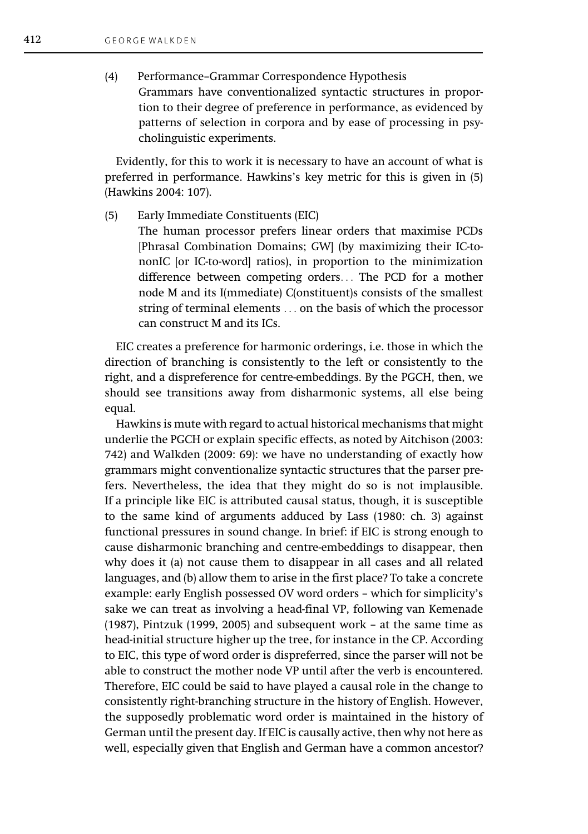(4) Performance–Grammar Correspondence Hypothesis Grammars have conventionalized syntactic structures in proportion to their degree of preference in performance, as evidenced by patterns of selection in corpora and by ease of processing in psycholinguistic experiments.

Evidently, for this to work it is necessary to have an account of what is preferred in performance. Hawkins's key metric for this is given in (5) (Hawkins 2004: 107).

(5) Early Immediate Constituents (EIC) The human processor prefers linear orders that maximise PCDs [Phrasal Combination Domains; GW] (by maximizing their IC-tononIC [or IC-to-word] ratios), in proportion to the minimization difference between competing orders... The PCD for a mother node M and its I(mmediate) C(onstituent)s consists of the smallest string of terminal elements ... on the basis of which the processor can construct M and its ICs.

EIC creates a preference for harmonic orderings, i.e. those in which the direction of branching is consistently to the left or consistently to the right, and a dispreference for centre-embeddings. By the PGCH, then, we should see transitions away from disharmonic systems, all else being equal.

Hawkins is mute with regard to actual historical mechanisms that might underlie the PGCH or explain specific effects, as noted by Aitchison (2003: 742) and Walkden (2009: 69): we have no understanding of exactly how grammars might conventionalize syntactic structures that the parser prefers. Nevertheless, the idea that they might do so is not implausible. If a principle like EIC is attributed causal status, though, it is susceptible to the same kind of arguments adduced by Lass (1980: ch. 3) against functional pressures in sound change. In brief: if EIC is strong enough to cause disharmonic branching and centre-embeddings to disappear, then why does it (a) not cause them to disappear in all cases and all related languages, and (b) allow them to arise in the first place? To take a concrete example: early English possessed OV word orders – which for simplicity's sake we can treat as involving a head-final VP, following van Kemenade (1987), Pintzuk (1999, 2005) and subsequent work – at the same time as head-initial structure higher up the tree, for instance in the CP. According to EIC, this type of word order is dispreferred, since the parser will not be able to construct the mother node VP until after the verb is encountered. Therefore, EIC could be said to have played a causal role in the change to consistently right-branching structure in the history of English. However, the supposedly problematic word order is maintained in the history of German until the present day. If EIC is causally active, then why not here as well, especially given that English and German have a common ancestor?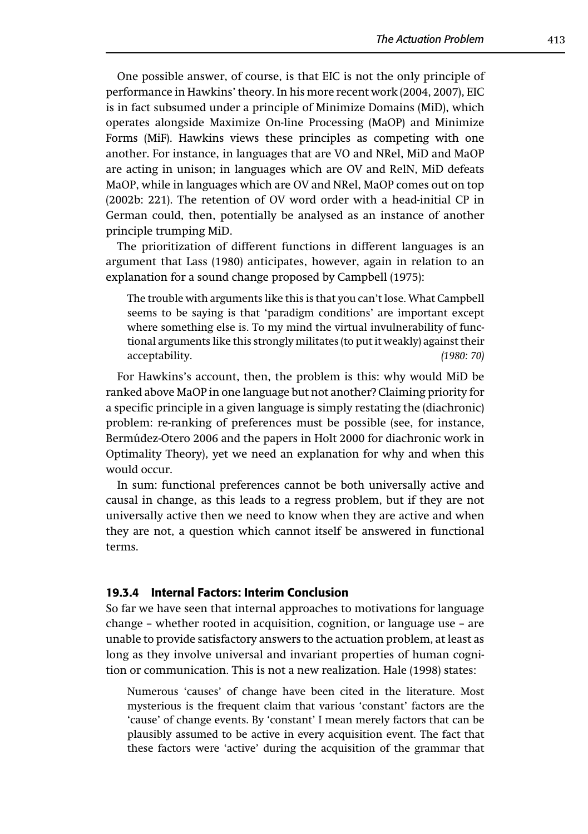One possible answer, of course, is that EIC is not the only principle of performance in Hawkins' theory. In his more recent work (2004, 2007), EIC is in fact subsumed under a principle of Minimize Domains (MiD), which operates alongside Maximize On-line Processing (MaOP) and Minimize Forms (MiF). Hawkins views these principles as competing with one another. For instance, in languages that are VO and NRel, MiD and MaOP are acting in unison; in languages which are OV and RelN, MiD defeats MaOP, while in languages which are OV and NRel, MaOP comes out on top (2002b: 221). The retention of OV word order with a head-initial CP in German could, then, potentially be analysed as an instance of another principle trumping MiD.

The prioritization of different functions in different languages is an argument that Lass (1980) anticipates, however, again in relation to an explanation for a sound change proposed by Campbell (1975):

The trouble with arguments like this is that you can't lose. What Campbell seems to be saying is that 'paradigm conditions' are important except where something else is. To my mind the virtual invulnerability of functional arguments like this strongly militates (to put it weakly) against their acceptability. (1980: 70)

For Hawkins's account, then, the problem is this: why would MiD be ranked above MaOP in one language but not another? Claiming priority for a specific principle in a given language is simply restating the (diachronic) problem: re-ranking of preferences must be possible (see, for instance, Bermúdez-Otero 2006 and the papers in Holt 2000 for diachronic work in Optimality Theory), yet we need an explanation for why and when this would occur.

In sum: functional preferences cannot be both universally active and causal in change, as this leads to a regress problem, but if they are not universally active then we need to know when they are active and when they are not, a question which cannot itself be answered in functional terms.

## 19.3.4 Internal Factors: Interim Conclusion

So far we have seen that internal approaches to motivations for language change – whether rooted in acquisition, cognition, or language use – are unable to provide satisfactory answers to the actuation problem, at least as long as they involve universal and invariant properties of human cognition or communication. This is not a new realization. Hale (1998) states:

Numerous 'causes' of change have been cited in the literature. Most mysterious is the frequent claim that various 'constant' factors are the 'cause' of change events. By 'constant' I mean merely factors that can be plausibly assumed to be active in every acquisition event. The fact that these factors were 'active' during the acquisition of the grammar that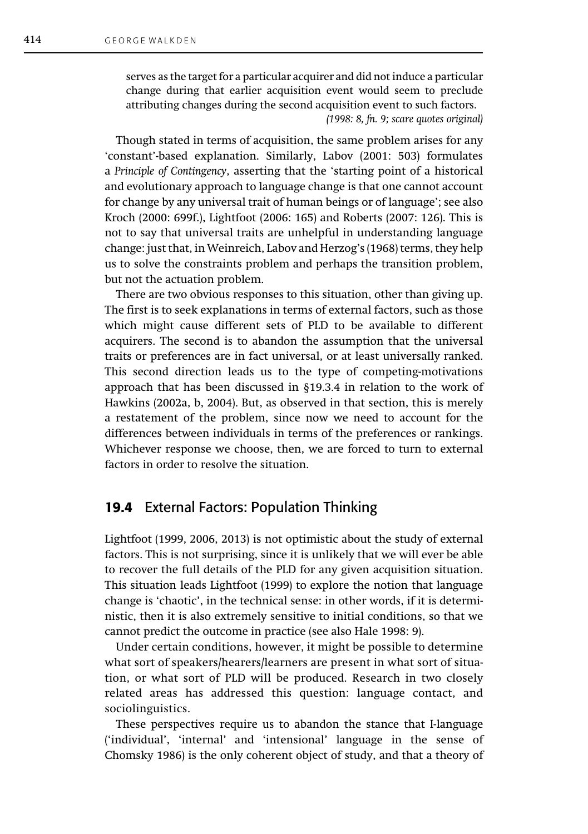serves as the target for a particular acquirer and did not induce a particular change during that earlier acquisition event would seem to preclude attributing changes during the second acquisition event to such factors.

(1998: 8, fn. 9; scare quotes original)

Though stated in terms of acquisition, the same problem arises for any 'constant'-based explanation. Similarly, Labov (2001: 503) formulates a Principle of Contingency, asserting that the 'starting point of a historical and evolutionary approach to language change is that one cannot account for change by any universal trait of human beings or of language'; see also Kroch (2000: 699f.), Lightfoot (2006: 165) and Roberts (2007: 126). This is not to say that universal traits are unhelpful in understanding language change: just that, in Weinreich, Labov and Herzog's (1968) terms, they help us to solve the constraints problem and perhaps the transition problem, but not the actuation problem.

There are two obvious responses to this situation, other than giving up. The first is to seek explanations in terms of external factors, such as those which might cause different sets of PLD to be available to different acquirers. The second is to abandon the assumption that the universal traits or preferences are in fact universal, or at least universally ranked. This second direction leads us to the type of competing-motivations approach that has been discussed in §19.3.4 in relation to the work of Hawkins (2002a, b, 2004). But, as observed in that section, this is merely a restatement of the problem, since now we need to account for the differences between individuals in terms of the preferences or rankings. Whichever response we choose, then, we are forced to turn to external factors in order to resolve the situation.

# 19.4 External Factors: Population Thinking

Lightfoot (1999, 2006, 2013) is not optimistic about the study of external factors. This is not surprising, since it is unlikely that we will ever be able to recover the full details of the PLD for any given acquisition situation. This situation leads Lightfoot (1999) to explore the notion that language change is 'chaotic', in the technical sense: in other words, if it is deterministic, then it is also extremely sensitive to initial conditions, so that we cannot predict the outcome in practice (see also Hale 1998: 9).

Under certain conditions, however, it might be possible to determine what sort of speakers/hearers/learners are present in what sort of situation, or what sort of PLD will be produced. Research in two closely related areas has addressed this question: language contact, and sociolinguistics.

These perspectives require us to abandon the stance that I-language ('individual', 'internal' and 'intensional' language in the sense of Chomsky 1986) is the only coherent object of study, and that a theory of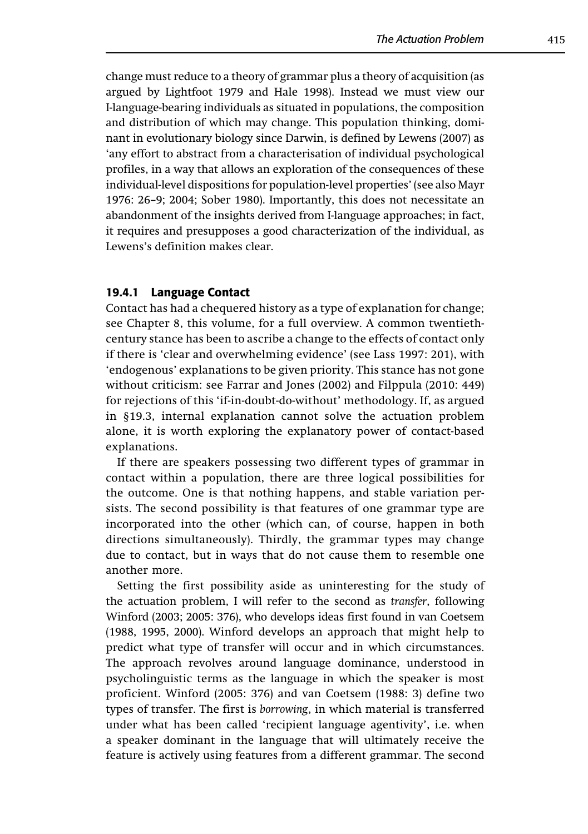change must reduce to a theory of grammar plus a theory of acquisition (as argued by Lightfoot 1979 and Hale 1998). Instead we must view our I-language-bearing individuals as situated in populations, the composition and distribution of which may change. This population thinking, dominant in evolutionary biology since Darwin, is defined by Lewens (2007) as 'any effort to abstract from a characterisation of individual psychological profiles, in a way that allows an exploration of the consequences of these individual-level dispositions for population-level properties' (see also Mayr 1976: 26–9; 2004; Sober 1980). Importantly, this does not necessitate an abandonment of the insights derived from I-language approaches; in fact, it requires and presupposes a good characterization of the individual, as Lewens's definition makes clear.

#### 19.4.1 Language Contact

Contact has had a chequered history as a type of explanation for change; see Chapter 8, this volume, for a full overview. A common twentiethcentury stance has been to ascribe a change to the effects of contact only if there is 'clear and overwhelming evidence' (see Lass 1997: 201), with 'endogenous' explanations to be given priority. This stance has not gone without criticism: see Farrar and Jones (2002) and Filppula (2010: 449) for rejections of this 'if-in-doubt-do-without' methodology. If, as argued in §19.3, internal explanation cannot solve the actuation problem alone, it is worth exploring the explanatory power of contact-based explanations.

If there are speakers possessing two different types of grammar in contact within a population, there are three logical possibilities for the outcome. One is that nothing happens, and stable variation persists. The second possibility is that features of one grammar type are incorporated into the other (which can, of course, happen in both directions simultaneously). Thirdly, the grammar types may change due to contact, but in ways that do not cause them to resemble one another more.

Setting the first possibility aside as uninteresting for the study of the actuation problem, I will refer to the second as transfer, following Winford (2003; 2005: 376), who develops ideas first found in van Coetsem (1988, 1995, 2000). Winford develops an approach that might help to predict what type of transfer will occur and in which circumstances. The approach revolves around language dominance, understood in psycholinguistic terms as the language in which the speaker is most proficient. Winford (2005: 376) and van Coetsem (1988: 3) define two types of transfer. The first is borrowing, in which material is transferred under what has been called 'recipient language agentivity', i.e. when a speaker dominant in the language that will ultimately receive the feature is actively using features from a different grammar. The second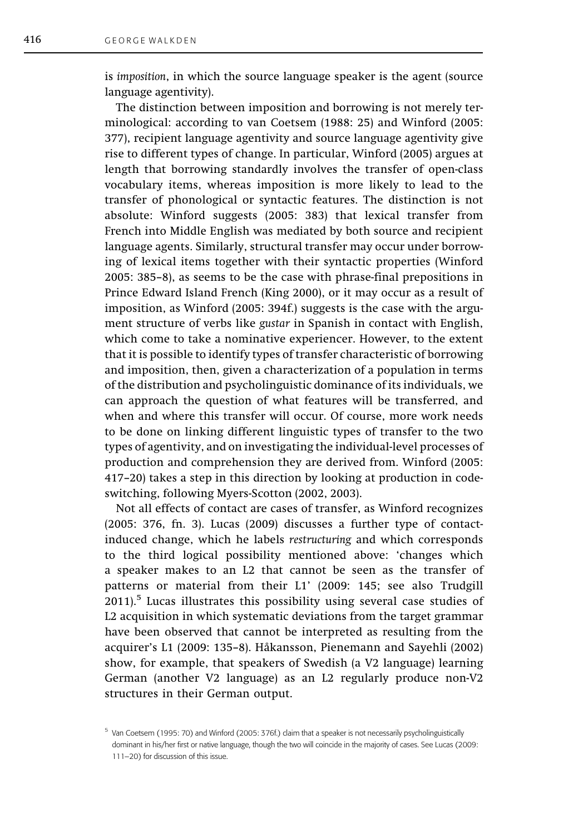is imposition, in which the source language speaker is the agent (source language agentivity).

The distinction between imposition and borrowing is not merely terminological: according to van Coetsem (1988: 25) and Winford (2005: 377), recipient language agentivity and source language agentivity give rise to different types of change. In particular, Winford (2005) argues at length that borrowing standardly involves the transfer of open-class vocabulary items, whereas imposition is more likely to lead to the transfer of phonological or syntactic features. The distinction is not absolute: Winford suggests (2005: 383) that lexical transfer from French into Middle English was mediated by both source and recipient language agents. Similarly, structural transfer may occur under borrowing of lexical items together with their syntactic properties (Winford 2005: 385–8), as seems to be the case with phrase-final prepositions in Prince Edward Island French (King 2000), or it may occur as a result of imposition, as Winford (2005: 394f.) suggests is the case with the argument structure of verbs like gustar in Spanish in contact with English, which come to take a nominative experiencer. However, to the extent that it is possible to identify types of transfer characteristic of borrowing and imposition, then, given a characterization of a population in terms of the distribution and psycholinguistic dominance of its individuals, we can approach the question of what features will be transferred, and when and where this transfer will occur. Of course, more work needs to be done on linking different linguistic types of transfer to the two types of agentivity, and on investigating the individual-level processes of production and comprehension they are derived from. Winford (2005: 417–20) takes a step in this direction by looking at production in codeswitching, following Myers-Scotton (2002, 2003).

Not all effects of contact are cases of transfer, as Winford recognizes (2005: 376, fn. 3). Lucas (2009) discusses a further type of contactinduced change, which he labels restructuring and which corresponds to the third logical possibility mentioned above: 'changes which a speaker makes to an L2 that cannot be seen as the transfer of patterns or material from their L1' (2009: 145; see also Trudgill 2011).<sup>5</sup> Lucas illustrates this possibility using several case studies of L2 acquisition in which systematic deviations from the target grammar have been observed that cannot be interpreted as resulting from the acquirer's L1 (2009: 135-8). Håkansson, Pienemann and Sayehli (2002) show, for example, that speakers of Swedish (a V2 language) learning German (another V2 language) as an L2 regularly produce non-V2 structures in their German output.

<sup>&</sup>lt;sup>5</sup> Van Coetsem (1995: 70) and Winford (2005: 376f.) claim that a speaker is not necessarily psycholinguistically dominant in his/her first or native language, though the two will coincide in the majority of cases. See Lucas (2009: 111–20) for discussion of this issue.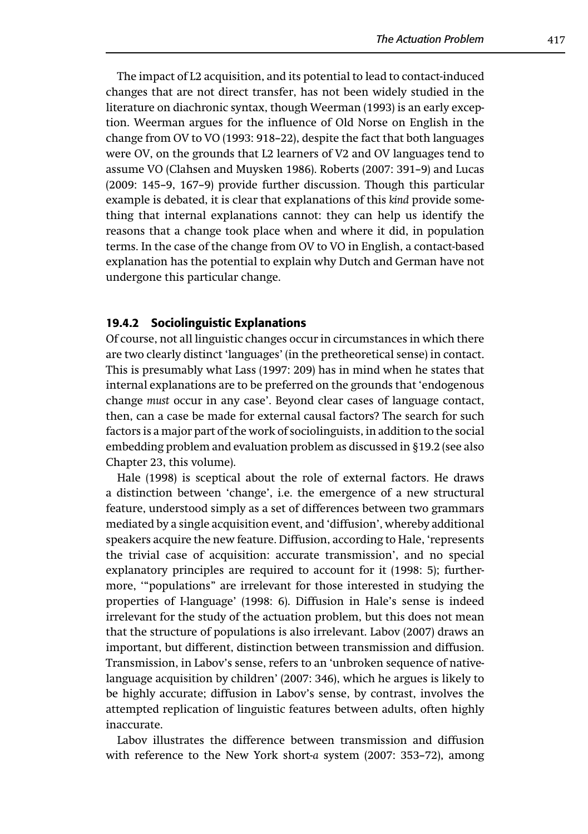The impact of L2 acquisition, and its potential to lead to contact-induced changes that are not direct transfer, has not been widely studied in the literature on diachronic syntax, though Weerman (1993) is an early exception. Weerman argues for the influence of Old Norse on English in the change from OV to VO (1993: 918–22), despite the fact that both languages were OV, on the grounds that L2 learners of V2 and OV languages tend to assume VO (Clahsen and Muysken 1986). Roberts (2007: 391–9) and Lucas (2009: 145–9, 167–9) provide further discussion. Though this particular example is debated, it is clear that explanations of this kind provide something that internal explanations cannot: they can help us identify the reasons that a change took place when and where it did, in population terms. In the case of the change from OV to VO in English, a contact-based explanation has the potential to explain why Dutch and German have not undergone this particular change.

#### 19.4.2 Sociolinguistic Explanations

Of course, not all linguistic changes occur in circumstances in which there are two clearly distinct 'languages' (in the pretheoretical sense) in contact. This is presumably what Lass (1997: 209) has in mind when he states that internal explanations are to be preferred on the grounds that 'endogenous change must occur in any case'. Beyond clear cases of language contact, then, can a case be made for external causal factors? The search for such factors is a major part of the work of sociolinguists, in addition to the social embedding problem and evaluation problem as discussed in §19.2 (see also Chapter 23, this volume).

Hale (1998) is sceptical about the role of external factors. He draws a distinction between 'change', i.e. the emergence of a new structural feature, understood simply as a set of differences between two grammars mediated by a single acquisition event, and 'diffusion', whereby additional speakers acquire the new feature. Diffusion, according to Hale, 'represents the trivial case of acquisition: accurate transmission', and no special explanatory principles are required to account for it (1998: 5); furthermore, '"populations" are irrelevant for those interested in studying the properties of I-language' (1998: 6). Diffusion in Hale's sense is indeed irrelevant for the study of the actuation problem, but this does not mean that the structure of populations is also irrelevant. Labov (2007) draws an important, but different, distinction between transmission and diffusion. Transmission, in Labov's sense, refers to an 'unbroken sequence of nativelanguage acquisition by children' (2007: 346), which he argues is likely to be highly accurate; diffusion in Labov's sense, by contrast, involves the attempted replication of linguistic features between adults, often highly inaccurate.

Labov illustrates the difference between transmission and diffusion with reference to the New York short-a system (2007: 353–72), among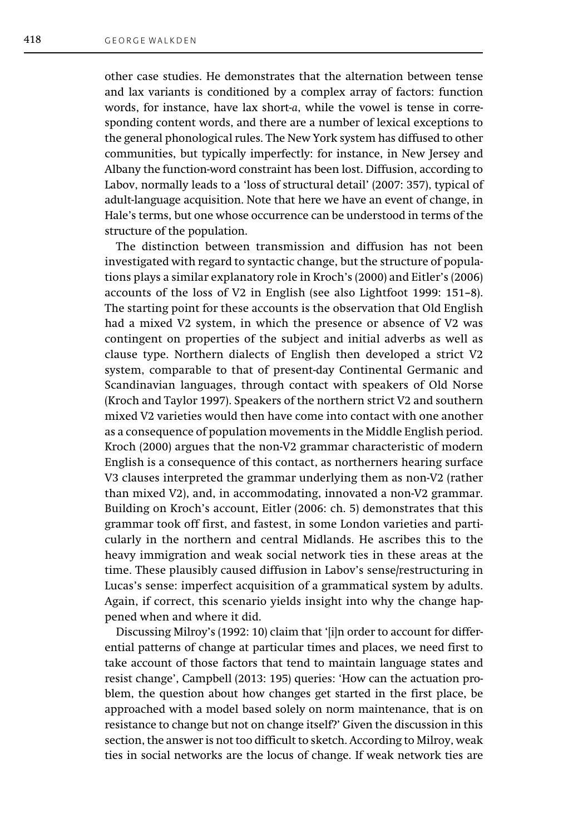other case studies. He demonstrates that the alternation between tense and lax variants is conditioned by a complex array of factors: function words, for instance, have lax short-a, while the vowel is tense in corresponding content words, and there are a number of lexical exceptions to the general phonological rules. The New York system has diffused to other communities, but typically imperfectly: for instance, in New Jersey and Albany the function-word constraint has been lost. Diffusion, according to Labov, normally leads to a 'loss of structural detail' (2007: 357), typical of adult-language acquisition. Note that here we have an event of change, in Hale's terms, but one whose occurrence can be understood in terms of the structure of the population.

The distinction between transmission and diffusion has not been investigated with regard to syntactic change, but the structure of populations plays a similar explanatory role in Kroch's (2000) and Eitler's (2006) accounts of the loss of V2 in English (see also Lightfoot 1999: 151–8). The starting point for these accounts is the observation that Old English had a mixed V2 system, in which the presence or absence of V2 was contingent on properties of the subject and initial adverbs as well as clause type. Northern dialects of English then developed a strict V2 system, comparable to that of present-day Continental Germanic and Scandinavian languages, through contact with speakers of Old Norse (Kroch and Taylor 1997). Speakers of the northern strict V2 and southern mixed V2 varieties would then have come into contact with one another as a consequence of population movements in the Middle English period. Kroch (2000) argues that the non-V2 grammar characteristic of modern English is a consequence of this contact, as northerners hearing surface V3 clauses interpreted the grammar underlying them as non-V2 (rather than mixed V2), and, in accommodating, innovated a non-V2 grammar. Building on Kroch's account, Eitler (2006: ch. 5) demonstrates that this grammar took off first, and fastest, in some London varieties and particularly in the northern and central Midlands. He ascribes this to the heavy immigration and weak social network ties in these areas at the time. These plausibly caused diffusion in Labov's sense/restructuring in Lucas's sense: imperfect acquisition of a grammatical system by adults. Again, if correct, this scenario yields insight into why the change happened when and where it did.

Discussing Milroy's (1992: 10) claim that '[i]n order to account for differential patterns of change at particular times and places, we need first to take account of those factors that tend to maintain language states and resist change', Campbell (2013: 195) queries: 'How can the actuation problem, the question about how changes get started in the first place, be approached with a model based solely on norm maintenance, that is on resistance to change but not on change itself?' Given the discussion in this section, the answer is not too difficult to sketch. According to Milroy, weak ties in social networks are the locus of change. If weak network ties are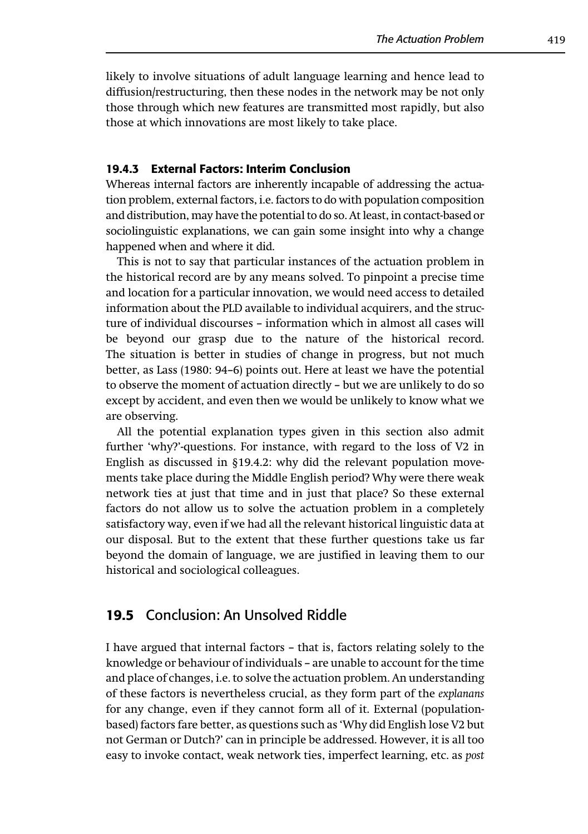likely to involve situations of adult language learning and hence lead to diffusion/restructuring, then these nodes in the network may be not only those through which new features are transmitted most rapidly, but also those at which innovations are most likely to take place.

### 19.4.3 External Factors: Interim Conclusion

Whereas internal factors are inherently incapable of addressing the actuation problem, external factors, i.e. factors to do with population composition and distribution, may have the potential to do so. At least, in contact-based or sociolinguistic explanations, we can gain some insight into why a change happened when and where it did.

This is not to say that particular instances of the actuation problem in the historical record are by any means solved. To pinpoint a precise time and location for a particular innovation, we would need access to detailed information about the PLD available to individual acquirers, and the structure of individual discourses – information which in almost all cases will be beyond our grasp due to the nature of the historical record. The situation is better in studies of change in progress, but not much better, as Lass (1980: 94–6) points out. Here at least we have the potential to observe the moment of actuation directly – but we are unlikely to do so except by accident, and even then we would be unlikely to know what we are observing.

All the potential explanation types given in this section also admit further 'why?'-questions. For instance, with regard to the loss of V2 in English as discussed in §19.4.2: why did the relevant population movements take place during the Middle English period? Why were there weak network ties at just that time and in just that place? So these external factors do not allow us to solve the actuation problem in a completely satisfactory way, even if we had all the relevant historical linguistic data at our disposal. But to the extent that these further questions take us far beyond the domain of language, we are justified in leaving them to our historical and sociological colleagues.

## 19.5 Conclusion: An Unsolved Riddle

I have argued that internal factors – that is, factors relating solely to the knowledge or behaviour of individuals – are unable to account for the time and place of changes, i.e. to solve the actuation problem. An understanding of these factors is nevertheless crucial, as they form part of the explanans for any change, even if they cannot form all of it. External (populationbased) factors fare better, as questions such as 'Why did English lose V2 but not German or Dutch?' can in principle be addressed. However, it is all too easy to invoke contact, weak network ties, imperfect learning, etc. as post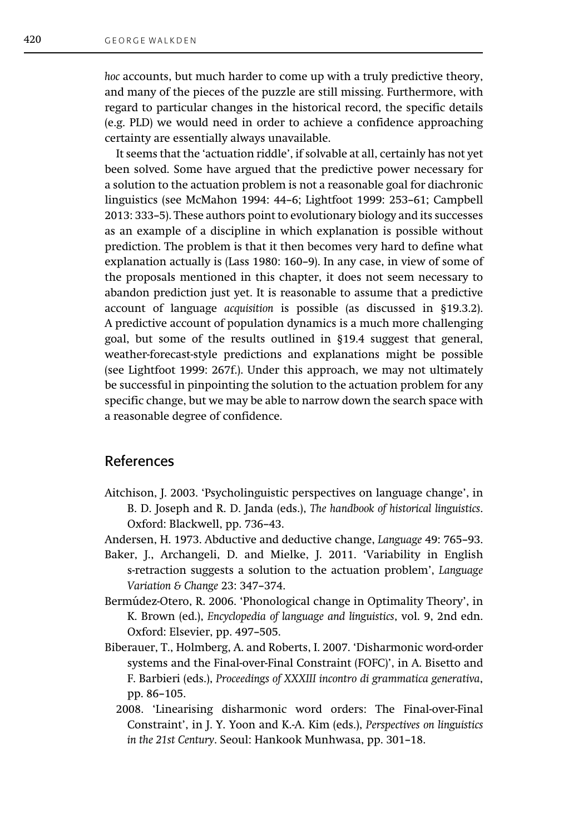hoc accounts, but much harder to come up with a truly predictive theory, and many of the pieces of the puzzle are still missing. Furthermore, with regard to particular changes in the historical record, the specific details (e.g. PLD) we would need in order to achieve a confidence approaching certainty are essentially always unavailable.

It seems that the 'actuation riddle', if solvable at all, certainly has not yet been solved. Some have argued that the predictive power necessary for a solution to the actuation problem is not a reasonable goal for diachronic linguistics (see McMahon 1994: 44–6; Lightfoot 1999: 253–61; Campbell 2013: 333–5). These authors point to evolutionary biology and its successes as an example of a discipline in which explanation is possible without prediction. The problem is that it then becomes very hard to define what explanation actually is (Lass 1980: 160–9). In any case, in view of some of the proposals mentioned in this chapter, it does not seem necessary to abandon prediction just yet. It is reasonable to assume that a predictive account of language acquisition is possible (as discussed in §19.3.2). A predictive account of population dynamics is a much more challenging goal, but some of the results outlined in §19.4 suggest that general, weather-forecast-style predictions and explanations might be possible (see Lightfoot 1999: 267f.). Under this approach, we may not ultimately be successful in pinpointing the solution to the actuation problem for any specific change, but we may be able to narrow down the search space with a reasonable degree of confidence.

# References

- Aitchison, J. 2003. 'Psycholinguistic perspectives on language change', in B. D. Joseph and R. D. Janda (eds.), The handbook of historical linguistics. Oxford: Blackwell, pp. 736–43.
- Andersen, H. 1973. Abductive and deductive change, Language 49: 765–93.
- Baker, J., Archangeli, D. and Mielke, J. 2011. 'Variability in English s-retraction suggests a solution to the actuation problem', Language Variation & Change 23: 347–374.
- Bermúdez-Otero, R. 2006. 'Phonological change in Optimality Theory', in K. Brown (ed.), Encyclopedia of language and linguistics, vol. 9, 2nd edn. Oxford: Elsevier, pp. 497–505.
- Biberauer, T., Holmberg, A. and Roberts, I. 2007. 'Disharmonic word-order systems and the Final-over-Final Constraint (FOFC)', in A. Bisetto and F. Barbieri (eds.), Proceedings of XXXIII incontro di grammatica generativa, pp. 86–105.
	- 2008. 'Linearising disharmonic word orders: The Final-over-Final Constraint', in J. Y. Yoon and K.-A. Kim (eds.), Perspectives on linguistics in the 21st Century. Seoul: Hankook Munhwasa, pp. 301–18.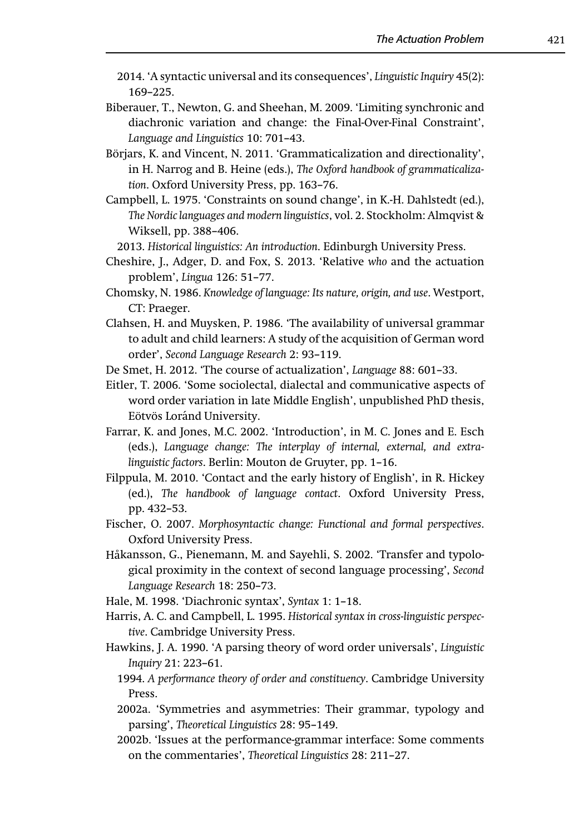- 2014. 'A syntactic universal and its consequences', Linguistic Inquiry 45(2): 169–225.
- Biberauer, T., Newton, G. and Sheehan, M. 2009. 'Limiting synchronic and diachronic variation and change: the Final-Over-Final Constraint', Language and Linguistics 10: 701–43.
- Börjars, K. and Vincent, N. 2011. 'Grammaticalization and directionality', in H. Narrog and B. Heine (eds.), The Oxford handbook of grammaticalization. Oxford University Press, pp. 163–76.
- Campbell, L. 1975. 'Constraints on sound change', in K.-H. Dahlstedt (ed.), The Nordic languages and modern linguistics, vol. 2. Stockholm: Almqvist & Wiksell, pp. 388–406.

2013. Historical linguistics: An introduction. Edinburgh University Press.

- Cheshire, J., Adger, D. and Fox, S. 2013. 'Relative who and the actuation problem', Lingua 126: 51–77.
- Chomsky, N. 1986. Knowledge of language: Its nature, origin, and use. Westport, CT: Praeger.
- Clahsen, H. and Muysken, P. 1986. 'The availability of universal grammar to adult and child learners: A study of the acquisition of German word order', Second Language Research 2: 93–119.
- De Smet, H. 2012. 'The course of actualization', Language 88: 601–33.
- Eitler, T. 2006. 'Some sociolectal, dialectal and communicative aspects of word order variation in late Middle English', unpublished PhD thesis, Eötvös Loránd University.
- Farrar, K. and Jones, M.C. 2002. 'Introduction', in M. C. Jones and E. Esch (eds.), Language change: The interplay of internal, external, and extralinguistic factors. Berlin: Mouton de Gruyter, pp. 1–16.
- Filppula, M. 2010. 'Contact and the early history of English', in R. Hickey (ed.), The handbook of language contact. Oxford University Press, pp. 432–53.
- Fischer, O. 2007. Morphosyntactic change: Functional and formal perspectives. Oxford University Press.
- Håkansson, G., Pienemann, M. and Sayehli, S. 2002. 'Transfer and typological proximity in the context of second language processing', Second Language Research 18: 250–73.
- Hale, M. 1998. 'Diachronic syntax', Syntax 1: 1–18.
- Harris, A. C. and Campbell, L. 1995. Historical syntax in cross-linguistic perspective. Cambridge University Press.
- Hawkins, J. A. 1990. 'A parsing theory of word order universals', Linguistic Inquiry 21: 223–61.
	- 1994. A performance theory of order and constituency. Cambridge University Press.
	- 2002a. 'Symmetries and asymmetries: Their grammar, typology and parsing', Theoretical Linguistics 28: 95–149.
	- 2002b. 'Issues at the performance-grammar interface: Some comments on the commentaries', Theoretical Linguistics 28: 211–27.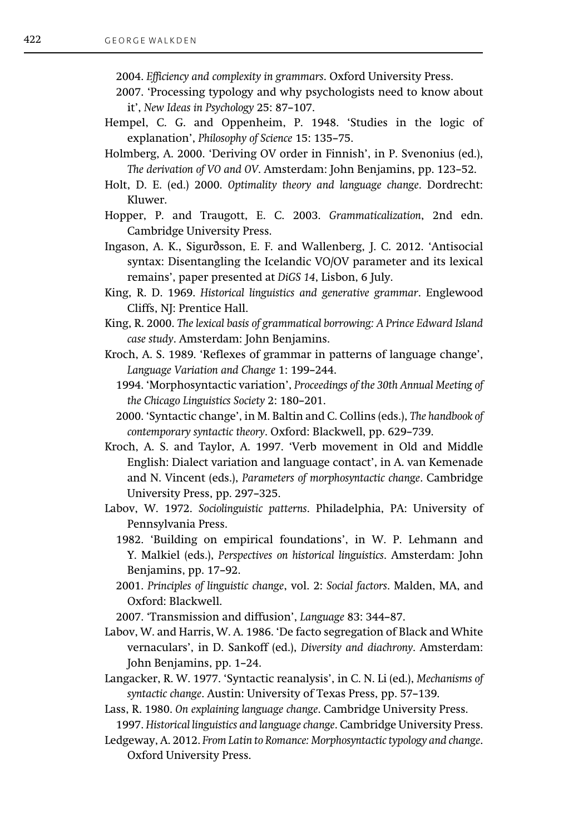- 2004. Efficiency and complexity in grammars. Oxford University Press.
- 2007. 'Processing typology and why psychologists need to know about it', New Ideas in Psychology 25: 87–107.
- Hempel, C. G. and Oppenheim, P. 1948. 'Studies in the logic of explanation', Philosophy of Science 15: 135–75.
- Holmberg, A. 2000. 'Deriving OV order in Finnish', in P. Svenonius (ed.), The derivation of VO and OV. Amsterdam: John Benjamins, pp. 123–52.
- Holt, D. E. (ed.) 2000. Optimality theory and language change. Dordrecht: Kluwer.
- Hopper, P. and Traugott, E. C. 2003. Grammaticalization, 2nd edn. Cambridge University Press.
- Ingason, A. K., Sigurðsson, E. F. and Wallenberg, J. C. 2012. 'Antisocial syntax: Disentangling the Icelandic VO/OV parameter and its lexical remains', paper presented at DiGS 14, Lisbon, 6 July.
- King, R. D. 1969. Historical linguistics and generative grammar. Englewood Cliffs, NJ: Prentice Hall.
- King, R. 2000. The lexical basis of grammatical borrowing: A Prince Edward Island case study. Amsterdam: John Benjamins.
- Kroch, A. S. 1989. 'Reflexes of grammar in patterns of language change', Language Variation and Change 1: 199–244.
	- 1994. 'Morphosyntactic variation', Proceedings of the 30th Annual Meeting of the Chicago Linguistics Society 2: 180–201.
	- 2000. 'Syntactic change', in M. Baltin and C. Collins (eds.), The handbook of contemporary syntactic theory. Oxford: Blackwell, pp. 629–739.
- Kroch, A. S. and Taylor, A. 1997. 'Verb movement in Old and Middle English: Dialect variation and language contact', in A. van Kemenade and N. Vincent (eds.), Parameters of morphosyntactic change. Cambridge University Press, pp. 297–325.
- Labov, W. 1972. Sociolinguistic patterns. Philadelphia, PA: University of Pennsylvania Press.
	- 1982. 'Building on empirical foundations', in W. P. Lehmann and Y. Malkiel (eds.), Perspectives on historical linguistics. Amsterdam: John Benjamins, pp. 17–92.
	- 2001. Principles of linguistic change, vol. 2: Social factors. Malden, MA, and Oxford: Blackwell.

2007. 'Transmission and diffusion', Language 83: 344–87.

- Labov, W. and Harris, W. A. 1986. 'De facto segregation of Black and White vernaculars', in D. Sankoff (ed.), Diversity and diachrony. Amsterdam: John Benjamins, pp. 1–24.
- Langacker, R. W. 1977. 'Syntactic reanalysis', in C. N. Li (ed.), Mechanisms of syntactic change. Austin: University of Texas Press, pp. 57–139.
- Lass, R. 1980. On explaining language change. Cambridge University Press. 1997. Historical linguistics and language change. Cambridge University Press.
- Ledgeway, A. 2012. From Latin to Romance: Morphosyntactic typology and change. Oxford University Press.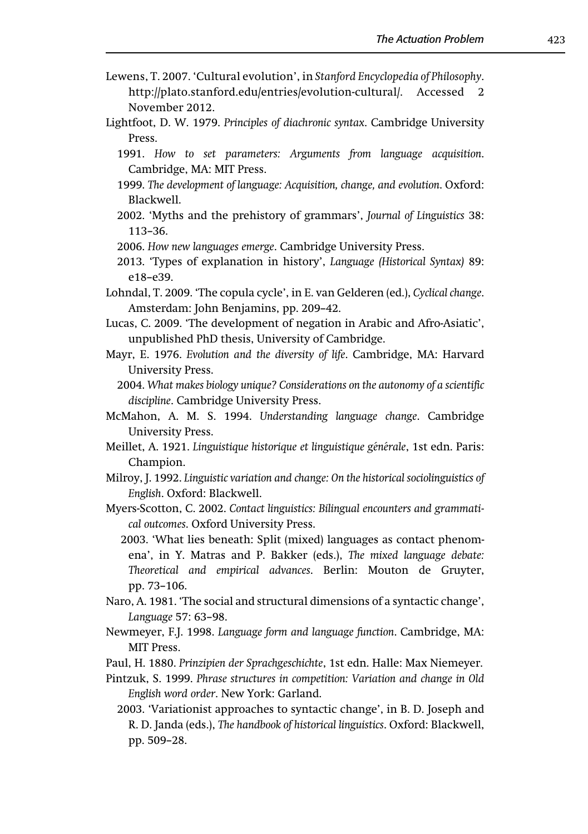- Lewens, T. 2007. 'Cultural evolution', in Stanford Encyclopedia of Philosophy. http://plato.stanford.edu/entries/evolution-cultural/. Accessed 2 November 2012.
- Lightfoot, D. W. 1979. Principles of diachronic syntax. Cambridge University Press.
	- 1991. How to set parameters: Arguments from language acquisition. Cambridge, MA: MIT Press.
	- 1999. The development of language: Acquisition, change, and evolution. Oxford: Blackwell.
	- 2002. 'Myths and the prehistory of grammars', Journal of Linguistics 38: 113–36.
	- 2006. How new languages emerge. Cambridge University Press.
	- 2013. 'Types of explanation in history', Language (Historical Syntax) 89: e18–e39.
- Lohndal, T. 2009. 'The copula cycle', in E. van Gelderen (ed.), Cyclical change. Amsterdam: John Benjamins, pp. 209–42.
- Lucas, C. 2009. 'The development of negation in Arabic and Afro-Asiatic', unpublished PhD thesis, University of Cambridge.
- Mayr, E. 1976. Evolution and the diversity of life. Cambridge, MA: Harvard University Press.
	- 2004. What makes biology unique? Considerations on the autonomy of a scientific discipline. Cambridge University Press.
- McMahon, A. M. S. 1994. Understanding language change. Cambridge University Press.
- Meillet, A. 1921. Linguistique historique et linguistique générale, 1st edn. Paris: Champion.
- Milroy, J. 1992. Linguistic variation and change: On the historical sociolinguistics of English. Oxford: Blackwell.
- Myers-Scotton, C. 2002. Contact linguistics: Bilingual encounters and grammatical outcomes. Oxford University Press.
	- 2003. 'What lies beneath: Split (mixed) languages as contact phenomena', in Y. Matras and P. Bakker (eds.), The mixed language debate: Theoretical and empirical advances. Berlin: Mouton de Gruyter, pp. 73–106.
- Naro, A. 1981. 'The social and structural dimensions of a syntactic change', Language 57: 63–98.
- Newmeyer, F.J. 1998. Language form and language function. Cambridge, MA: MIT Press.
- Paul, H. 1880. Prinzipien der Sprachgeschichte, 1st edn. Halle: Max Niemeyer.
- Pintzuk, S. 1999. Phrase structures in competition: Variation and change in Old English word order. New York: Garland.
	- 2003. 'Variationist approaches to syntactic change', in B. D. Joseph and R. D. Janda (eds.), The handbook of historical linguistics. Oxford: Blackwell, pp. 509–28.